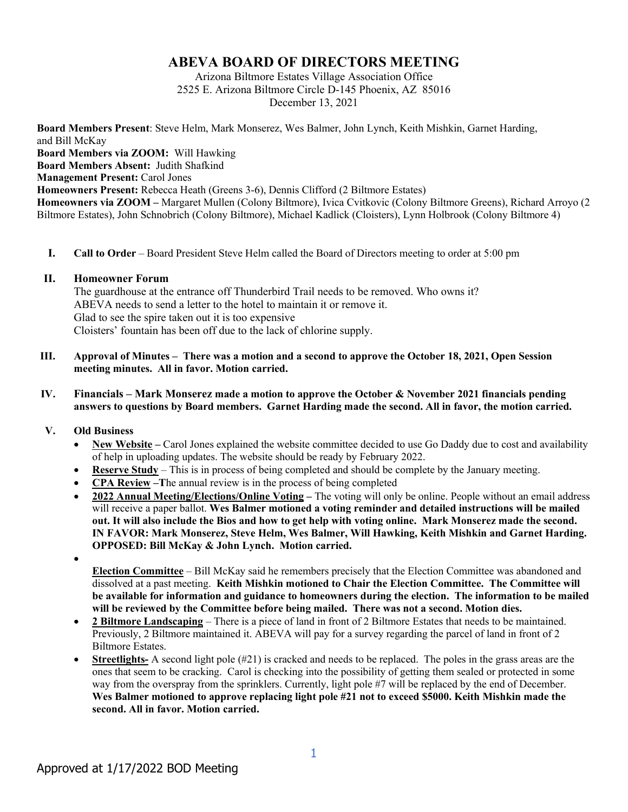# **ABEVA BOARD OF DIRECTORS MEETING**

Arizona Biltmore Estates Village Association Office 2525 E. Arizona Biltmore Circle D-145 Phoenix, AZ 85016 December 13, 2021

**Board Members Present**: Steve Helm, Mark Monserez, Wes Balmer, John Lynch, Keith Mishkin, Garnet Harding, and Bill McKay **Board Members via ZOOM:** Will Hawking **Board Members Absent:** Judith Shafkind **Management Present: Carol Jones Homeowners Present:** Rebecca Heath (Greens 3-6), Dennis Clifford (2 Biltmore Estates) **Homeowners via ZOOM –** Margaret Mullen (Colony Biltmore), Ivica Cvitkovic (Colony Biltmore Greens), Richard Arroyo (2 Biltmore Estates), John Schnobrich (Colony Biltmore), Michael Kadlick (Cloisters), Lynn Holbrook (Colony Biltmore 4)

**I. Call to Order** – Board President Steve Helm called the Board of Directors meeting to order at 5:00 pm

#### **II. Homeowner Forum**

The guardhouse at the entrance off Thunderbird Trail needs to be removed. Who owns it? ABEVA needs to send a letter to the hotel to maintain it or remove it. Glad to see the spire taken out it is too expensive Cloisters' fountain has been off due to the lack of chlorine supply.

- **III. Approval of Minutes – There was a motion and a second to approve the October 18, 2021, Open Session meeting minutes. All in favor. Motion carried.**
- **IV. Financials – Mark Monserez made a motion to approve the October & November 2021 financials pending answers to questions by Board members. Garnet Harding made the second. All in favor, the motion carried.**
- **V. Old Business**
	- **New Website –** Carol Jones explained the website committee decided to use Go Daddy due to cost and availability of help in uploading updates. The website should be ready by February 2022.
	- **Reserve Study** This is in process of being completed and should be complete by the January meeting.
	- **CPA Review –T**he annual review is in the process of being completed
	- **2022 Annual Meeting/Elections/Online Voting –** The voting will only be online. People without an email address will receive a paper ballot. **Wes Balmer motioned a voting reminder and detailed instructions will be mailed out. It will also include the Bios and how to get help with voting online. Mark Monserez made the second. IN FAVOR: Mark Monserez, Steve Helm, Wes Balmer, Will Hawking, Keith Mishkin and Garnet Harding. OPPOSED: Bill McKay & John Lynch. Motion carried.**
	- •

**Election Committee** – Bill McKay said he remembers precisely that the Election Committee was abandoned and dissolved at a past meeting. **Keith Mishkin motioned to Chair the Election Committee. The Committee will be available for information and guidance to homeowners during the election. The information to be mailed will be reviewed by the Committee before being mailed. There was not a second. Motion dies.**

- **2 Biltmore Landscaping** There is a piece of land in front of 2 Biltmore Estates that needs to be maintained. Previously, 2 Biltmore maintained it. ABEVA will pay for a survey regarding the parcel of land in front of 2 Biltmore Estates.
- **Streetlights-** A second light pole (#21) is cracked and needs to be replaced. The poles in the grass areas are the ones that seem to be cracking. Carol is checking into the possibility of getting them sealed or protected in some way from the overspray from the sprinklers. Currently, light pole #7 will be replaced by the end of December. **Wes Balmer motioned to approve replacing light pole #21 not to exceed \$5000. Keith Mishkin made the second. All in favor. Motion carried.**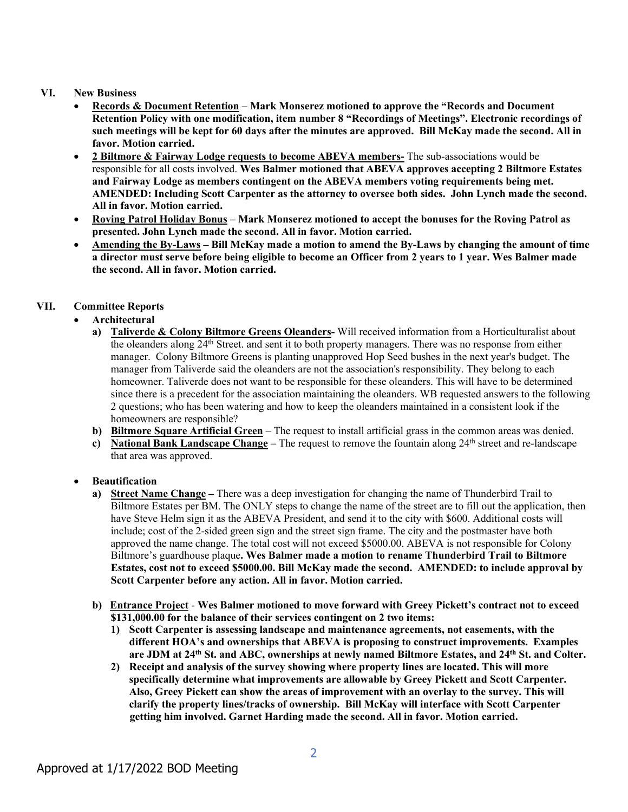#### **VI. New Business**

- **Records & Document Retention – Mark Monserez motioned to approve the "Records and Document Retention Policy with one modification, item number 8 "Recordings of Meetings". Electronic recordings of such meetings will be kept for 60 days after the minutes are approved. Bill McKay made the second. All in favor. Motion carried.**
- **2 Biltmore & Fairway Lodge requests to become ABEVA members-** The sub-associations would be responsible for all costs involved. **Wes Balmer motioned that ABEVA approves accepting 2 Biltmore Estates and Fairway Lodge as members contingent on the ABEVA members voting requirements being met. AMENDED: Including Scott Carpenter as the attorney to oversee both sides. John Lynch made the second. All in favor. Motion carried.**
- **Roving Patrol Holiday Bonus – Mark Monserez motioned to accept the bonuses for the Roving Patrol as presented. John Lynch made the second. All in favor. Motion carried.**
- **Amending the By-Laws – Bill McKay made a motion to amend the By-Laws by changing the amount of time a director must serve before being eligible to become an Officer from 2 years to 1 year. Wes Balmer made the second. All in favor. Motion carried.**

## **VII. Committee Reports**

## • **Architectural**

- **a) Taliverde & Colony Biltmore Greens Oleanders-** Will received information from a Horticulturalist about the oleanders along 24th Street. and sent it to both property managers. There was no response from either manager. Colony Biltmore Greens is planting unapproved Hop Seed bushes in the next year's budget. The manager from Taliverde said the oleanders are not the association's responsibility. They belong to each homeowner. Taliverde does not want to be responsible for these oleanders. This will have to be determined since there is a precedent for the association maintaining the oleanders. WB requested answers to the following 2 questions; who has been watering and how to keep the oleanders maintained in a consistent look if the homeowners are responsible?
- **b) Biltmore Square Artificial Green** The request to install artificial grass in the common areas was denied.
- **c) National Bank Landscape Change –** The request to remove the fountain along 24th street and re-landscape that area was approved.

## • **Beautification**

- **a) Street Name Change –** There was a deep investigation for changing the name of Thunderbird Trail to Biltmore Estates per BM. The ONLY steps to change the name of the street are to fill out the application, then have Steve Helm sign it as the ABEVA President, and send it to the city with \$600. Additional costs will include; cost of the 2-sided green sign and the street sign frame. The city and the postmaster have both approved the name change. The total cost will not exceed \$5000.00. ABEVA is not responsible for Colony Biltmore's guardhouse plaque**. Wes Balmer made a motion to rename Thunderbird Trail to Biltmore Estates, cost not to exceed \$5000.00. Bill McKay made the second. AMENDED: to include approval by Scott Carpenter before any action. All in favor. Motion carried.**
- **b) Entrance Project Wes Balmer motioned to move forward with Greey Pickett's contract not to exceed \$131,000.00 for the balance of their services contingent on 2 two items:**
	- **1) Scott Carpenter is assessing landscape and maintenance agreements, not easements, with the different HOA's and ownerships that ABEVA is proposing to construct improvements. Examples are JDM at 24th St. and ABC, ownerships at newly named Biltmore Estates, and 24th St. and Colter.**
	- **2) Receipt and analysis of the survey showing where property lines are located. This will more specifically determine what improvements are allowable by Greey Pickett and Scott Carpenter. Also, Greey Pickett can show the areas of improvement with an overlay to the survey. This will clarify the property lines/tracks of ownership. Bill McKay will interface with Scott Carpenter getting him involved. Garnet Harding made the second. All in favor. Motion carried.**